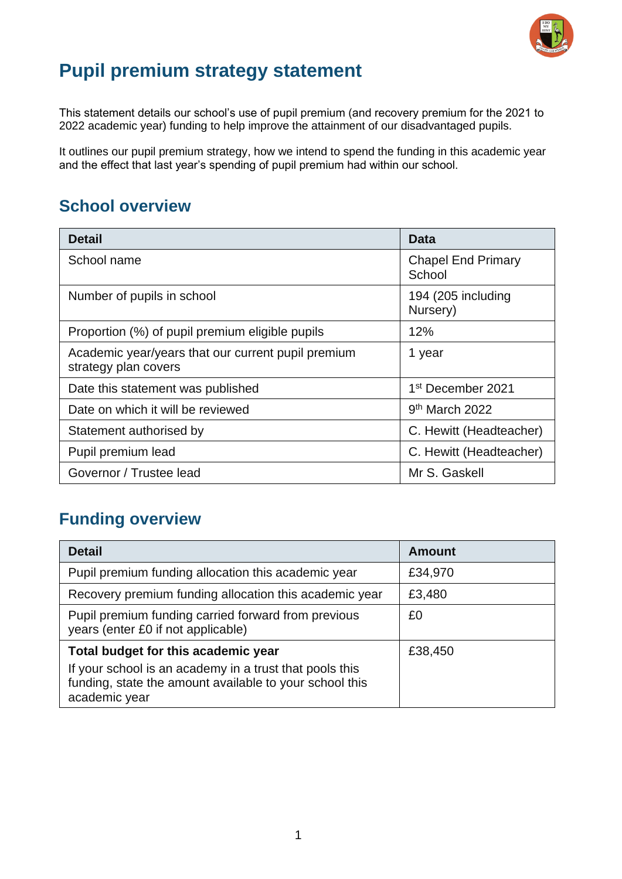

## **Pupil premium strategy statement**

This statement details our school's use of pupil premium (and recovery premium for the 2021 to 2022 academic year) funding to help improve the attainment of our disadvantaged pupils.

It outlines our pupil premium strategy, how we intend to spend the funding in this academic year and the effect that last year's spending of pupil premium had within our school.

### **School overview**

| <b>Detail</b>                                                              | Data                                |
|----------------------------------------------------------------------------|-------------------------------------|
| School name                                                                | <b>Chapel End Primary</b><br>School |
| Number of pupils in school                                                 | 194 (205 including<br>Nursery)      |
| Proportion (%) of pupil premium eligible pupils                            | 12%                                 |
| Academic year/years that our current pupil premium<br>strategy plan covers | 1 year                              |
| Date this statement was published                                          | 1 <sup>st</sup> December 2021       |
| Date on which it will be reviewed                                          | 9 <sup>th</sup> March 2022          |
| Statement authorised by                                                    | C. Hewitt (Headteacher)             |
| Pupil premium lead                                                         | C. Hewitt (Headteacher)             |
| Governor / Trustee lead                                                    | Mr S. Gaskell                       |

#### **Funding overview**

| <b>Detail</b>                                                                                                                       | <b>Amount</b> |
|-------------------------------------------------------------------------------------------------------------------------------------|---------------|
| Pupil premium funding allocation this academic year                                                                                 | £34,970       |
| Recovery premium funding allocation this academic year                                                                              | £3,480        |
| Pupil premium funding carried forward from previous<br>years (enter £0 if not applicable)                                           | £0            |
| Total budget for this academic year                                                                                                 | £38,450       |
| If your school is an academy in a trust that pools this<br>funding, state the amount available to your school this<br>academic year |               |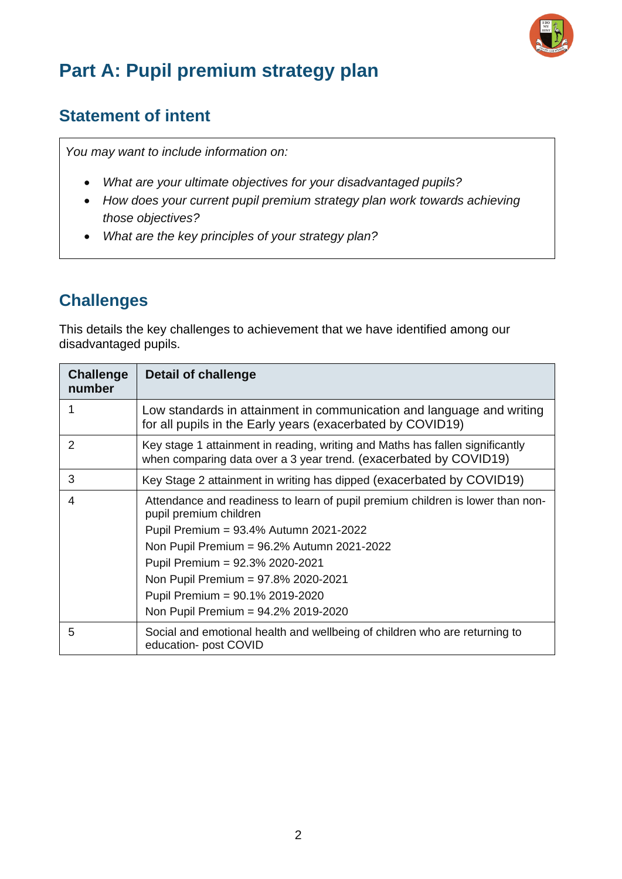

# **Part A: Pupil premium strategy plan**

#### **Statement of intent**

*You may want to include information on:*

- *What are your ultimate objectives for your disadvantaged pupils?*
- *How does your current pupil premium strategy plan work towards achieving those objectives?*
- *What are the key principles of your strategy plan?*

## **Challenges**

This details the key challenges to achievement that we have identified among our disadvantaged pupils.

| <b>Challenge</b><br>number | Detail of challenge                                                                                                                                                                                                                 |
|----------------------------|-------------------------------------------------------------------------------------------------------------------------------------------------------------------------------------------------------------------------------------|
|                            | Low standards in attainment in communication and language and writing<br>for all pupils in the Early years (exacerbated by COVID19)                                                                                                 |
| $\mathcal{P}$              | Key stage 1 attainment in reading, writing and Maths has fallen significantly<br>when comparing data over a 3 year trend. (exacerbated by COVID19)                                                                                  |
| 3                          | Key Stage 2 attainment in writing has dipped (exacerbated by COVID19)                                                                                                                                                               |
| 4                          | Attendance and readiness to learn of pupil premium children is lower than non-<br>pupil premium children<br>Pupil Premium = 93.4% Autumn 2021-2022<br>Non Pupil Premium = 96.2% Autumn 2021-2022<br>Pupil Premium = 92.3% 2020-2021 |
|                            | Non Pupil Premium = 97.8% 2020-2021                                                                                                                                                                                                 |
|                            | Pupil Premium = 90.1% 2019-2020                                                                                                                                                                                                     |
|                            | Non Pupil Premium = 94.2% 2019-2020                                                                                                                                                                                                 |
| 5                          | Social and emotional health and wellbeing of children who are returning to<br>education- post COVID                                                                                                                                 |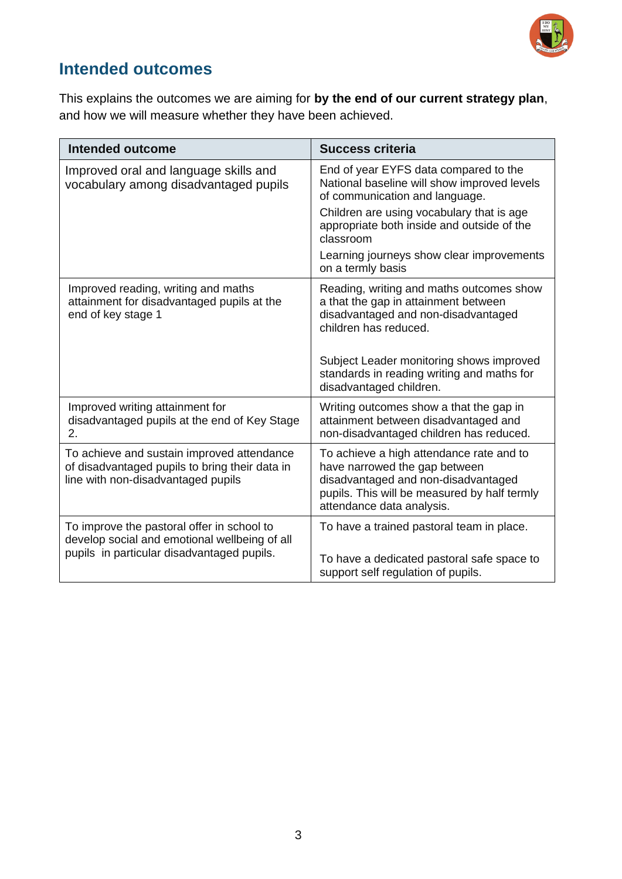

## **Intended outcomes**

This explains the outcomes we are aiming for **by the end of our current strategy plan**, and how we will measure whether they have been achieved.

| <b>Intended outcome</b>                                                                                                            | <b>Success criteria</b>                                                                                                                                                                       |
|------------------------------------------------------------------------------------------------------------------------------------|-----------------------------------------------------------------------------------------------------------------------------------------------------------------------------------------------|
| Improved oral and language skills and<br>vocabulary among disadvantaged pupils                                                     | End of year EYFS data compared to the<br>National baseline will show improved levels<br>of communication and language.                                                                        |
|                                                                                                                                    | Children are using vocabulary that is age<br>appropriate both inside and outside of the<br>classroom                                                                                          |
|                                                                                                                                    | Learning journeys show clear improvements<br>on a termly basis                                                                                                                                |
| Improved reading, writing and maths<br>attainment for disadvantaged pupils at the<br>end of key stage 1                            | Reading, writing and maths outcomes show<br>a that the gap in attainment between<br>disadvantaged and non-disadvantaged<br>children has reduced.                                              |
|                                                                                                                                    | Subject Leader monitoring shows improved<br>standards in reading writing and maths for<br>disadvantaged children.                                                                             |
| Improved writing attainment for<br>disadvantaged pupils at the end of Key Stage<br>2.                                              | Writing outcomes show a that the gap in<br>attainment between disadvantaged and<br>non-disadvantaged children has reduced.                                                                    |
| To achieve and sustain improved attendance<br>of disadvantaged pupils to bring their data in<br>line with non-disadvantaged pupils | To achieve a high attendance rate and to<br>have narrowed the gap between<br>disadvantaged and non-disadvantaged<br>pupils. This will be measured by half termly<br>attendance data analysis. |
| To improve the pastoral offer in school to<br>develop social and emotional wellbeing of all                                        | To have a trained pastoral team in place.                                                                                                                                                     |
| pupils in particular disadvantaged pupils.                                                                                         | To have a dedicated pastoral safe space to<br>support self regulation of pupils.                                                                                                              |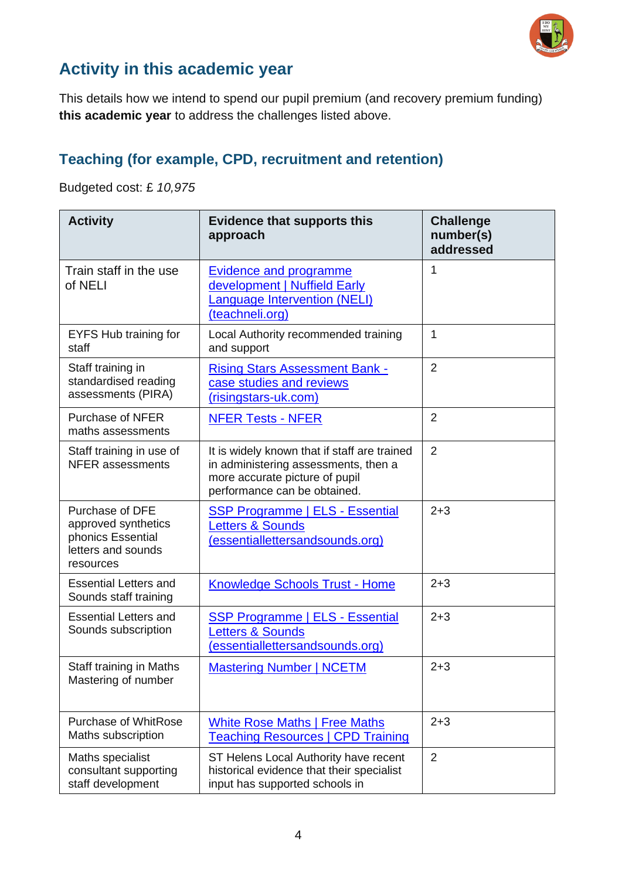

## **Activity in this academic year**

This details how we intend to spend our pupil premium (and recovery premium funding) **this academic year** to address the challenges listed above.

#### **Teaching (for example, CPD, recruitment and retention)**

Budgeted cost: £ *10,975*

| <b>Activity</b>                                                                                | <b>Evidence that supports this</b><br>approach                                                                                                         | <b>Challenge</b><br>number(s)<br>addressed |
|------------------------------------------------------------------------------------------------|--------------------------------------------------------------------------------------------------------------------------------------------------------|--------------------------------------------|
| Train staff in the use<br>of NELI                                                              | <b>Evidence and programme</b><br>development   Nuffield Early<br>Language Intervention (NELI)<br>(teachneli.org)                                       | 1                                          |
| EYFS Hub training for<br>staff                                                                 | Local Authority recommended training<br>and support                                                                                                    | 1                                          |
| Staff training in<br>standardised reading<br>assessments (PIRA)                                | <b>Rising Stars Assessment Bank -</b><br>case studies and reviews<br>(risingstars-uk.com)                                                              | $\overline{2}$                             |
| <b>Purchase of NFER</b><br>maths assessments                                                   | <b>NFER Tests - NFER</b>                                                                                                                               | $\overline{2}$                             |
| Staff training in use of<br><b>NFER</b> assessments                                            | It is widely known that if staff are trained<br>in administering assessments, then a<br>more accurate picture of pupil<br>performance can be obtained. | $\overline{2}$                             |
| Purchase of DFE<br>approved synthetics<br>phonics Essential<br>letters and sounds<br>resources | <b>SSP Programme   ELS - Essential</b><br><b>Letters &amp; Sounds</b><br>(essentiallettersandsounds.org)                                               | $2 + 3$                                    |
| <b>Essential Letters and</b><br>Sounds staff training                                          | <b>Knowledge Schools Trust - Home</b>                                                                                                                  | $2 + 3$                                    |
| <b>Essential Letters and</b><br>Sounds subscription                                            | <b>SSP Programme   ELS - Essential</b><br><b>Letters &amp; Sounds</b><br>(essentiallettersandsounds.org)                                               | $2 + 3$                                    |
| Staff training in Maths<br>Mastering of number                                                 | <b>Mastering Number   NCETM</b>                                                                                                                        | $2 + 3$                                    |
| <b>Purchase of WhitRose</b><br>Maths subscription                                              | <b>White Rose Maths   Free Maths</b><br><b>Teaching Resources   CPD Training</b>                                                                       | $2 + 3$                                    |
| Maths specialist<br>consultant supporting<br>staff development                                 | ST Helens Local Authority have recent<br>historical evidence that their specialist<br>input has supported schools in                                   | 2                                          |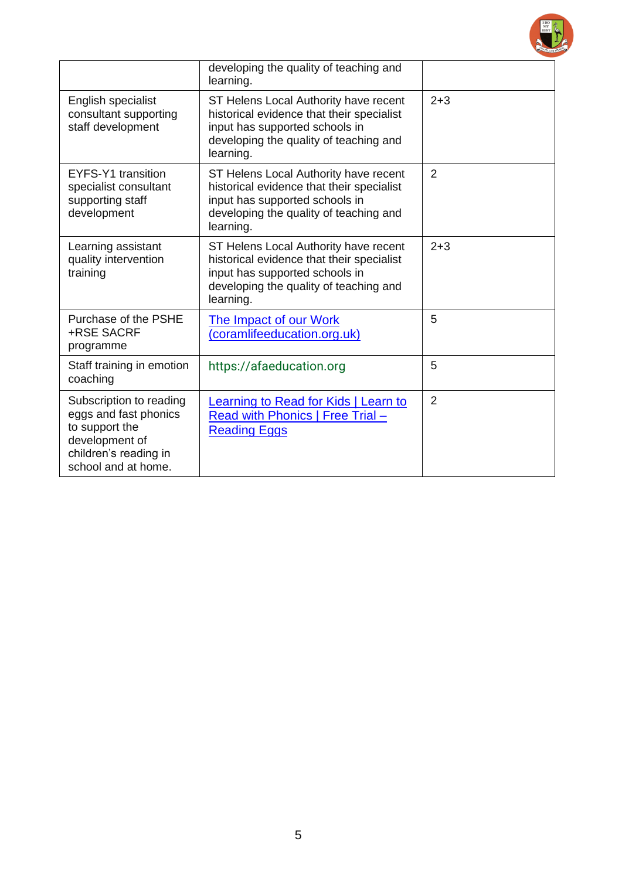|                                                                                                                                      | developing the quality of teaching and<br>learning.                                                                                                                         |                |
|--------------------------------------------------------------------------------------------------------------------------------------|-----------------------------------------------------------------------------------------------------------------------------------------------------------------------------|----------------|
| English specialist<br>consultant supporting<br>staff development                                                                     | ST Helens Local Authority have recent<br>historical evidence that their specialist<br>input has supported schools in<br>developing the quality of teaching and<br>learning. | $2 + 3$        |
| EYFS-Y1 transition<br>specialist consultant<br>supporting staff<br>development                                                       | ST Helens Local Authority have recent<br>historical evidence that their specialist<br>input has supported schools in<br>developing the quality of teaching and<br>learning. | $\overline{2}$ |
| Learning assistant<br>quality intervention<br>training                                                                               | ST Helens Local Authority have recent<br>historical evidence that their specialist<br>input has supported schools in<br>developing the quality of teaching and<br>learning. | $2 + 3$        |
| Purchase of the PSHE<br>+RSE SACRF<br>programme                                                                                      | <b>The Impact of our Work</b><br>(coramlifeeducation.org.uk)                                                                                                                | 5              |
| Staff training in emotion<br>coaching                                                                                                | https://afaeducation.org                                                                                                                                                    | 5              |
| Subscription to reading<br>eggs and fast phonics<br>to support the<br>development of<br>children's reading in<br>school and at home. | Learning to Read for Kids   Learn to<br>Read with Phonics   Free Trial -<br><b>Reading Eggs</b>                                                                             | $\overline{2}$ |

 $\begin{array}{|c|c|} \hline 1\, \text{DO} & A \\ \hline \text{MY} & B\text{EST} \end{array}$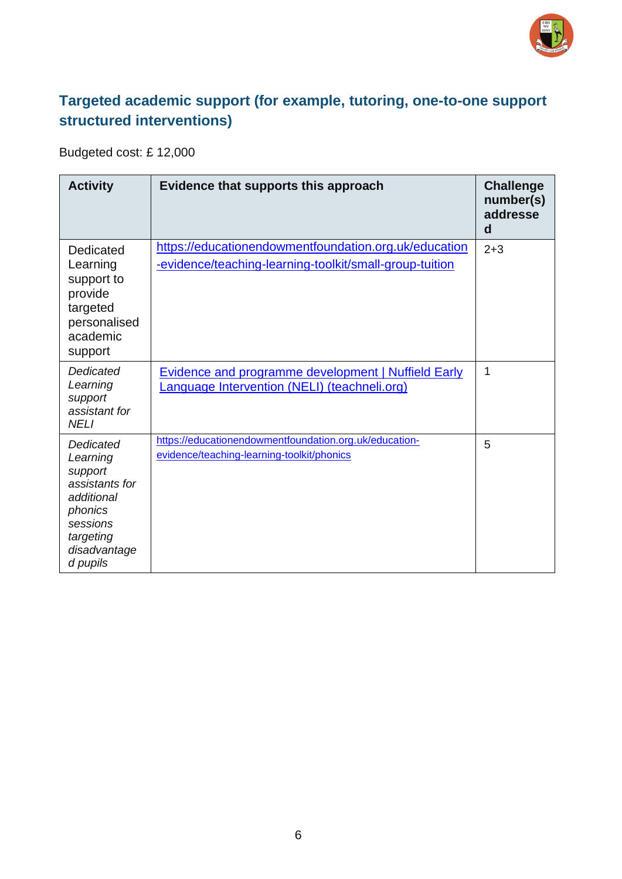

#### **Targeted academic support (for example, tutoring, one-to-one support structured interventions)**

Budgeted cost: £ 12,000

| <b>Activity</b>                                                                                                                  | Evidence that supports this approach                                                                             | <b>Challenge</b><br>number(s)<br>addresse<br>$\mathbf d$ |
|----------------------------------------------------------------------------------------------------------------------------------|------------------------------------------------------------------------------------------------------------------|----------------------------------------------------------|
| Dedicated<br>Learning<br>support to<br>provide<br>targeted<br>personalised<br>academic<br>support                                | https://educationendowmentfoundation.org.uk/education<br>-evidence/teaching-learning-toolkit/small-group-tuition | $2 + 3$                                                  |
| Dedicated<br>Learning<br>support<br>assistant for<br><b>NELI</b>                                                                 | <b>Evidence and programme development   Nuffield Early</b><br>Language Intervention (NELI) (teachneli.org)       | 1                                                        |
| Dedicated<br>Learning<br>support<br>assistants for<br>additional<br>phonics<br>sessions<br>targeting<br>disadvantage<br>d pupils | https://educationendowmentfoundation.org.uk/education-<br>evidence/teaching-learning-toolkit/phonics             | 5                                                        |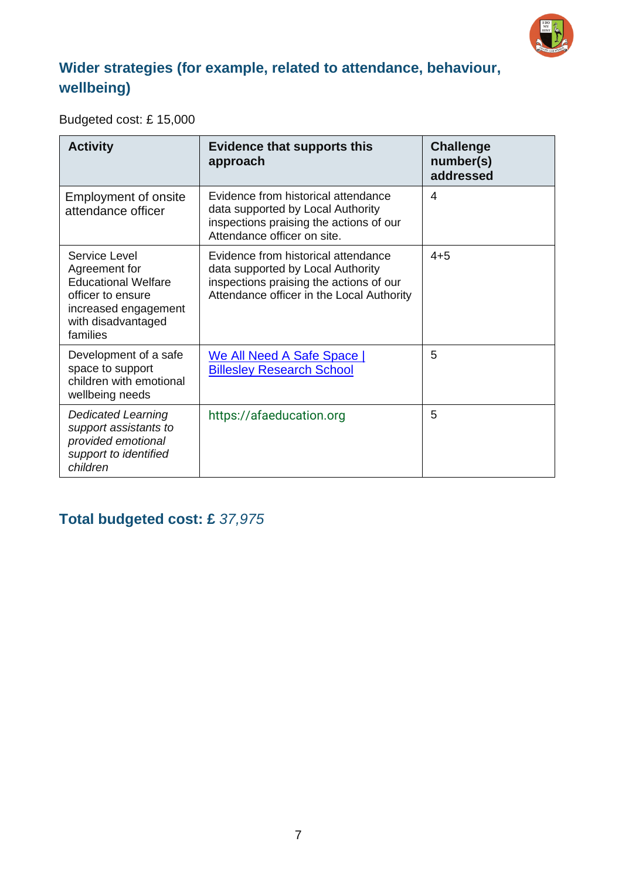

#### **Wider strategies (for example, related to attendance, behaviour, wellbeing)**

#### Budgeted cost: £ 15,000

| <b>Activity</b>                                                                                                                             | <b>Evidence that supports this</b><br>approach                                                                                                                   | <b>Challenge</b><br>number(s)<br>addressed |
|---------------------------------------------------------------------------------------------------------------------------------------------|------------------------------------------------------------------------------------------------------------------------------------------------------------------|--------------------------------------------|
| <b>Employment of onsite</b><br>attendance officer                                                                                           | Evidence from historical attendance<br>data supported by Local Authority<br>inspections praising the actions of our<br>Attendance officer on site.               | 4                                          |
| Service Level<br>Agreement for<br><b>Educational Welfare</b><br>officer to ensure<br>increased engagement<br>with disadvantaged<br>families | Evidence from historical attendance<br>data supported by Local Authority<br>inspections praising the actions of our<br>Attendance officer in the Local Authority | $4 + 5$                                    |
| Development of a safe<br>space to support<br>children with emotional<br>wellbeing needs                                                     | We All Need A Safe Space  <br><b>Billesley Research School</b>                                                                                                   | 5                                          |
| <b>Dedicated Learning</b><br>support assistants to<br>provided emotional<br>support to identified<br>children                               | https://afaeducation.org                                                                                                                                         | 5                                          |

#### **Total budgeted cost: £** *37,975*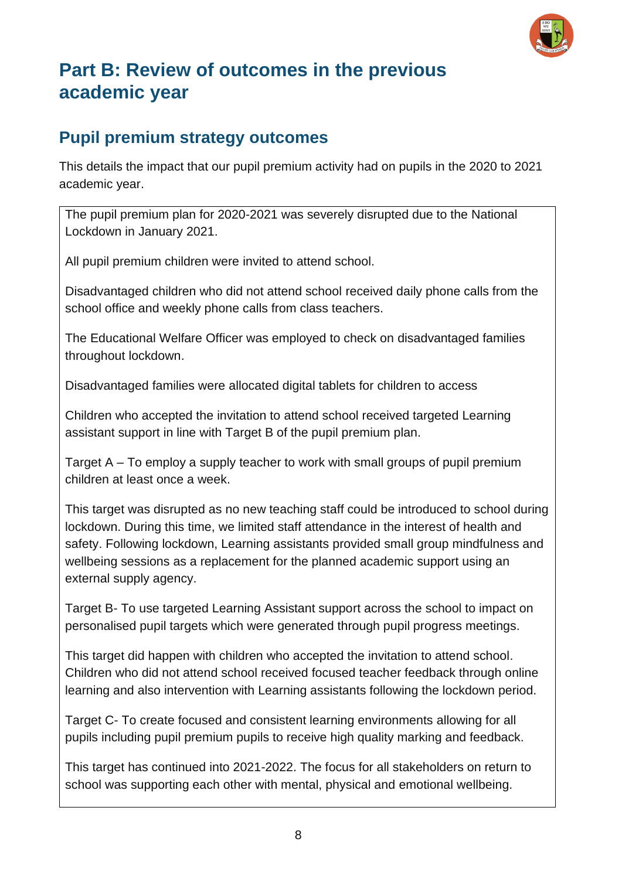

## **Part B: Review of outcomes in the previous academic year**

#### **Pupil premium strategy outcomes**

This details the impact that our pupil premium activity had on pupils in the 2020 to 2021 academic year.

The pupil premium plan for 2020-2021 was severely disrupted due to the National Lockdown in January 2021.

All pupil premium children were invited to attend school.

Disadvantaged children who did not attend school received daily phone calls from the school office and weekly phone calls from class teachers.

The Educational Welfare Officer was employed to check on disadvantaged families throughout lockdown.

Disadvantaged families were allocated digital tablets for children to access

Children who accepted the invitation to attend school received targeted Learning assistant support in line with Target B of the pupil premium plan.

Target A – To employ a supply teacher to work with small groups of pupil premium children at least once a week.

This target was disrupted as no new teaching staff could be introduced to school during lockdown. During this time, we limited staff attendance in the interest of health and safety. Following lockdown, Learning assistants provided small group mindfulness and wellbeing sessions as a replacement for the planned academic support using an external supply agency.

Target B- To use targeted Learning Assistant support across the school to impact on personalised pupil targets which were generated through pupil progress meetings.

This target did happen with children who accepted the invitation to attend school. Children who did not attend school received focused teacher feedback through online learning and also intervention with Learning assistants following the lockdown period.

Target C- To create focused and consistent learning environments allowing for all pupils including pupil premium pupils to receive high quality marking and feedback.

This target has continued into 2021-2022. The focus for all stakeholders on return to school was supporting each other with mental, physical and emotional wellbeing.